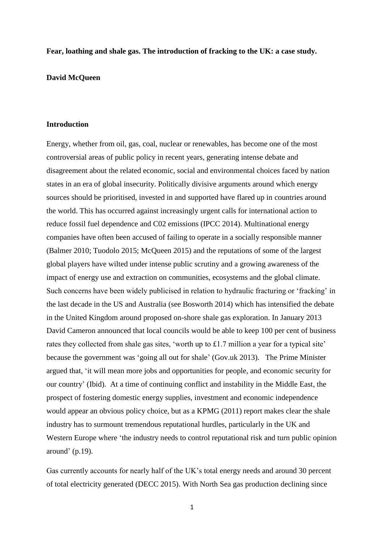### **Fear, loathing and shale gas. The introduction of fracking to the UK: a case study.**

### **David McQueen**

## **Introduction**

Energy, whether from oil, gas, coal, nuclear or renewables, has become one of the most controversial areas of public policy in recent years, generating intense debate and disagreement about the related economic, social and environmental choices faced by nation states in an era of global insecurity. Politically divisive arguments around which energy sources should be prioritised, invested in and supported have flared up in countries around the world. This has occurred against increasingly urgent calls for international action to reduce fossil fuel dependence and C02 emissions (IPCC 2014). Multinational energy companies have often been accused of failing to operate in a socially responsible manner (Balmer 2010; Tuodolo 2015; McQueen 2015) and the reputations of some of the largest global players have wilted under intense public scrutiny and a growing awareness of the impact of energy use and extraction on communities, ecosystems and the global climate. Such concerns have been widely publicised in relation to hydraulic fracturing or 'fracking' in the last decade in the US and Australia (see Bosworth 2014) which has intensified the debate in the United Kingdom around proposed on-shore shale gas exploration. In January 2013 David Cameron announced that local councils would be able to keep 100 per cent of business rates they collected from shale gas sites, 'worth up to £1.7 million a year for a typical site' because the government was 'going all out for shale' (Gov.uk 2013). The Prime Minister argued that, 'it will mean more jobs and opportunities for people, and economic security for our country' (Ibid). At a time of continuing conflict and instability in the Middle East, the prospect of fostering domestic energy supplies, investment and economic independence would appear an obvious policy choice, but as a KPMG (2011) report makes clear the shale industry has to surmount tremendous reputational hurdles, particularly in the UK and Western Europe where 'the industry needs to control reputational risk and turn public opinion around' (p.19).

Gas currently accounts for nearly half of the UK's total energy needs and around 30 percent of total electricity generated (DECC 2015). With North Sea gas production declining since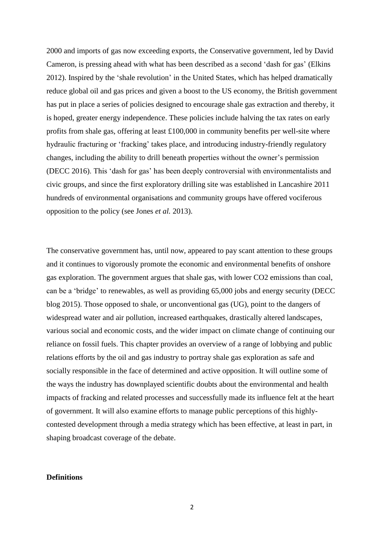2000 and imports of gas now exceeding exports, the Conservative government, led by David Cameron, is pressing ahead with what has been described as a second 'dash for gas' (Elkins 2012). Inspired by the 'shale revolution' in the United States, which has helped dramatically reduce global oil and gas prices and given a boost to the US economy, the British government has put in place a series of policies designed to encourage shale gas extraction and thereby, it is hoped, greater energy independence. These policies include halving the tax rates on early profits from shale gas, offering at least £100,000 in community benefits per well-site where hydraulic fracturing or 'fracking' takes place, and introducing industry-friendly regulatory changes, including the ability to drill beneath properties without the owner's permission (DECC 2016). This 'dash for gas' has been deeply controversial with environmentalists and civic groups, and since the first exploratory drilling site was established in Lancashire 2011 hundreds of environmental organisations and community groups have offered vociferous opposition to the policy (see Jones *et al.* 2013).

The conservative government has, until now, appeared to pay scant attention to these groups and it continues to vigorously promote the economic and environmental benefits of onshore gas exploration. The government argues that shale gas, with lower CO2 emissions than coal, can be a 'bridge' to renewables, as well as providing 65,000 jobs and energy security (DECC blog 2015). Those opposed to shale, or unconventional gas (UG), point to the dangers of widespread water and air pollution, increased earthquakes, drastically altered landscapes, various social and economic costs, and the wider impact on climate change of continuing our reliance on fossil fuels. This chapter provides an overview of a range of lobbying and public relations efforts by the oil and gas industry to portray shale gas exploration as safe and socially responsible in the face of determined and active opposition. It will outline some of the ways the industry has downplayed scientific doubts about the environmental and health impacts of fracking and related processes and successfully made its influence felt at the heart of government. It will also examine efforts to manage public perceptions of this highlycontested development through a media strategy which has been effective, at least in part, in shaping broadcast coverage of the debate.

### **Definitions**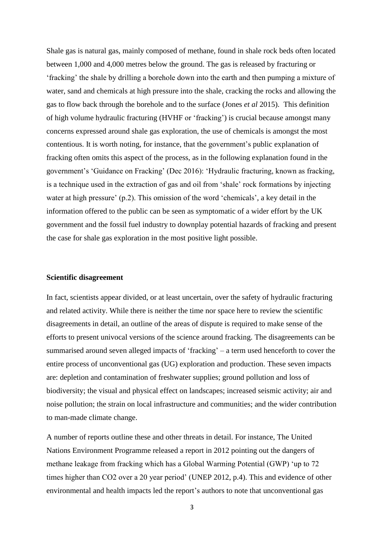Shale gas is natural gas, mainly composed of methane, found in shale rock beds often located between 1,000 and 4,000 metres below the ground. The gas is released by fracturing or 'fracking' the shale by drilling a borehole down into the earth and then pumping a mixture of water, sand and chemicals at high pressure into the shale, cracking the rocks and allowing the gas to flow back through the borehole and to the surface (Jones *et al* 2015). This definition of high volume hydraulic fracturing (HVHF or 'fracking') is crucial because amongst many concerns expressed around shale gas exploration, the use of chemicals is amongst the most contentious. It is worth noting, for instance, that the government's public explanation of fracking often omits this aspect of the process, as in the following explanation found in the government's 'Guidance on Fracking' (Dec 2016): 'Hydraulic fracturing, known as fracking, is a technique used in the extraction of gas and oil from 'shale' rock formations by injecting water at high pressure' (p.2). This omission of the word 'chemicals', a key detail in the information offered to the public can be seen as symptomatic of a wider effort by the UK government and the fossil fuel industry to downplay potential hazards of fracking and present the case for shale gas exploration in the most positive light possible.

#### **Scientific disagreement**

In fact, scientists appear divided, or at least uncertain, over the safety of hydraulic fracturing and related activity. While there is neither the time nor space here to review the scientific disagreements in detail, an outline of the areas of dispute is required to make sense of the efforts to present univocal versions of the science around fracking. The disagreements can be summarised around seven alleged impacts of 'fracking' – a term used henceforth to cover the entire process of unconventional gas (UG) exploration and production. These seven impacts are: depletion and contamination of freshwater supplies; ground pollution and loss of biodiversity; the visual and physical effect on landscapes; increased seismic activity; air and noise pollution; the strain on local infrastructure and communities; and the wider contribution to man-made climate change.

A number of reports outline these and other threats in detail. For instance, The United Nations Environment Programme released a report in 2012 pointing out the dangers of methane leakage from fracking which has a Global Warming Potential (GWP) 'up to 72 times higher than CO2 over a 20 year period' (UNEP 2012, p.4). This and evidence of other environmental and health impacts led the report's authors to note that unconventional gas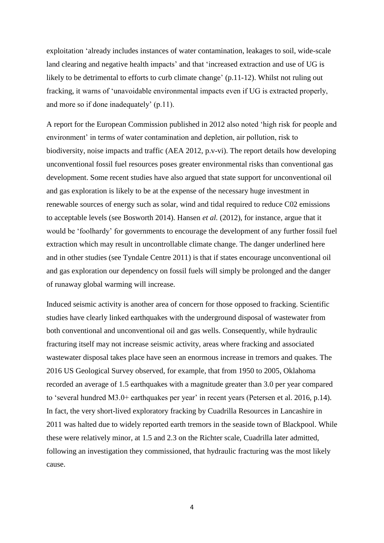exploitation 'already includes instances of water contamination, leakages to soil, wide-scale land clearing and negative health impacts' and that 'increased extraction and use of UG is likely to be detrimental to efforts to curb climate change' (p.11-12). Whilst not ruling out fracking, it warns of 'unavoidable environmental impacts even if UG is extracted properly, and more so if done inadequately' (p.11).

A report for the European Commission published in 2012 also noted 'high risk for people and environment' in terms of water contamination and depletion, air pollution, risk to biodiversity, noise impacts and traffic (AEA 2012, p.v-vi). The report details how developing unconventional fossil fuel resources poses greater environmental risks than conventional gas development. Some recent studies have also argued that state support for unconventional oil and gas exploration is likely to be at the expense of the necessary huge investment in renewable sources of energy such as solar, wind and tidal required to reduce C02 emissions to acceptable levels (see Bosworth 2014). Hansen *et al.* (2012), for instance, argue that it would be 'foolhardy' for governments to encourage the development of any further fossil fuel extraction which may result in uncontrollable climate change. The danger underlined here and in other studies (see Tyndale Centre 2011) is that if states encourage unconventional oil and gas exploration our dependency on fossil fuels will simply be prolonged and the danger of runaway global warming will increase.

Induced seismic activity is another area of concern for those opposed to fracking. Scientific studies have clearly linked earthquakes with the underground disposal of wastewater from both conventional and unconventional oil and gas wells. Consequently, while hydraulic fracturing itself may not increase seismic activity, areas where fracking and associated wastewater disposal takes place have seen an enormous increase in tremors and quakes. The 2016 US Geological Survey observed, for example, that from 1950 to 2005, Oklahoma recorded an average of 1.5 earthquakes with a magnitude greater than 3.0 per year compared to 'several hundred M3.0+ earthquakes per year' in recent years (Petersen et al. 2016, p.14). In fact, the very short-lived exploratory fracking by Cuadrilla Resources in Lancashire in 2011 was halted due to widely reported earth tremors in the seaside town of Blackpool. While these were relatively minor, at 1.5 and 2.3 on the Richter scale, Cuadrilla later admitted, following an investigation they commissioned, that hydraulic fracturing was the most likely cause.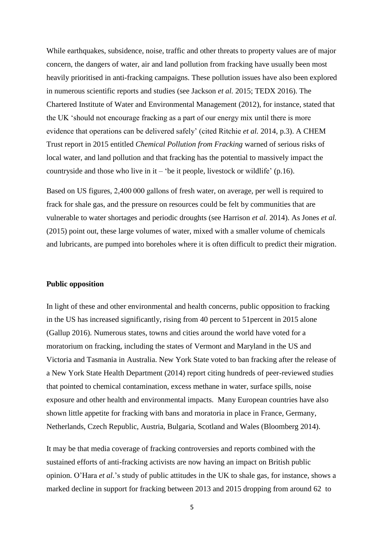While earthquakes, subsidence, noise, traffic and other threats to property values are of major concern, the dangers of water, air and land pollution from fracking have usually been most heavily prioritised in anti-fracking campaigns. These pollution issues have also been explored in numerous scientific reports and studies (see Jackson *et al.* 2015; TEDX 2016). The Chartered Institute of Water and Environmental Management (2012), for instance, stated that the UK 'should not encourage fracking as a part of our energy mix until there is more evidence that operations can be delivered safely' (cited Ritchie *et al.* 2014, p.3). A CHEM Trust report in 2015 entitled *Chemical Pollution from Fracking* warned of serious risks of local water, and land pollution and that fracking has the potential to massively impact the countryside and those who live in it – 'be it people, livestock or wildlife'  $(p.16)$ .

Based on US figures, 2,400 000 gallons of fresh water, on average, per well is required to frack for shale gas, and the pressure on resources could be felt by communities that are vulnerable to water shortages and periodic droughts (see Harrison *et al.* 2014). As Jones *et al.* (2015) point out, these large volumes of water, mixed with a smaller volume of chemicals and lubricants, are pumped into boreholes where it is often difficult to predict their migration.

### **Public opposition**

In light of these and other environmental and health concerns, public opposition to fracking in the US has increased significantly, rising from 40 percent to 51percent in 2015 alone (Gallup 2016). Numerous states, towns and cities around the world have voted for a moratorium on fracking, including the states of Vermont and Maryland in the US and Victoria and Tasmania in Australia. New York State voted to ban fracking after the release of a New York State Health Department (2014) report citing hundreds of peer-reviewed studies that pointed to chemical contamination, excess methane in water, surface spills, noise exposure and other health and environmental impacts. Many European countries have also shown little appetite for fracking with bans and moratoria in place in France, Germany, Netherlands, Czech Republic, Austria, Bulgaria, Scotland and Wales (Bloomberg 2014).

It may be that media coverage of fracking controversies and reports combined with the sustained efforts of anti-fracking activists are now having an impact on British public opinion. O'Hara *et al*.'s study of public attitudes in the UK to shale gas, for instance, shows a marked decline in support for fracking between 2013 and 2015 dropping from around 62 to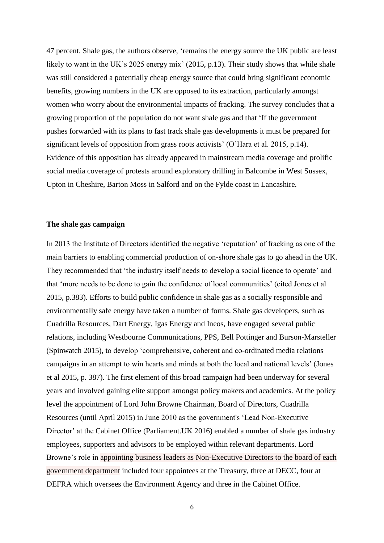47 percent. Shale gas, the authors observe, 'remains the energy source the UK public are least likely to want in the UK's 2025 energy mix' (2015, p.13). Their study shows that while shale was still considered a potentially cheap energy source that could bring significant economic benefits, growing numbers in the UK are opposed to its extraction, particularly amongst women who worry about the environmental impacts of fracking. The survey concludes that a growing proportion of the population do not want shale gas and that 'If the government pushes forwarded with its plans to fast track shale gas developments it must be prepared for significant levels of opposition from grass roots activists' (O'Hara et al. 2015, p.14). Evidence of this opposition has already appeared in mainstream media coverage and prolific social media coverage of protests around exploratory drilling in Balcombe in West Sussex, Upton in Cheshire, Barton Moss in Salford and on the Fylde coast in Lancashire.

## **The shale gas campaign**

In 2013 the Institute of Directors identified the negative 'reputation' of fracking as one of the main barriers to enabling commercial production of on-shore shale gas to go ahead in the UK. They recommended that 'the industry itself needs to develop a social licence to operate' and that 'more needs to be done to gain the confidence of local communities' (cited Jones et al 2015, p.383). Efforts to build public confidence in shale gas as a socially responsible and environmentally safe energy have taken a number of forms. Shale gas developers, such as Cuadrilla Resources, Dart Energy, Igas Energy and Ineos, have engaged several public relations, including Westbourne Communications, PPS, Bell Pottinger and Burson-Marsteller (Spinwatch 2015), to develop 'comprehensive, coherent and co-ordinated media relations campaigns in an attempt to win hearts and minds at both the local and national levels' (Jones et al 2015, p. 387). The first element of this broad campaign had been underway for several years and involved gaining elite support amongst policy makers and academics. At the policy level the appointment of Lord John Browne Chairman, Board of Directors, Cuadrilla Resources (until April 2015) in June 2010 as the government's 'Lead Non-Executive Director' at the [Cabinet Office](http://powerbase.info/index.php/Cabinet_Office) (Parliament.UK 2016) enabled a number of shale gas industry employees, supporters and advisors to be employed within relevant departments. Lord Browne's role in appointing business leaders as Non-Executive Directors to the board of each government department included four appointees at the Treasury, three at DECC, four at DEFRA which oversees the Environment Agency and three in the Cabinet Office.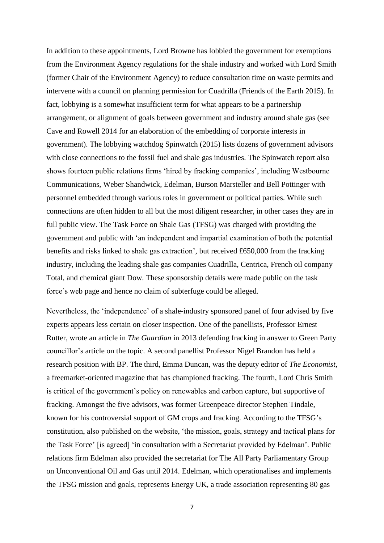In addition to these appointments, Lord Browne has lobbied the government for exemptions from the Environment Agency regulations for the shale industry and worked with Lord Smith (former Chair of the Environment Agency) to reduce consultation time on waste permits and intervene with a council on planning permission for Cuadrilla (Friends of the Earth 2015). In fact, lobbying is a somewhat insufficient term for what appears to be a partnership arrangement, or alignment of goals between government and industry around shale gas (see Cave and Rowell 2014 for an elaboration of the embedding of corporate interests in government). The lobbying watchdog Spinwatch (2015) lists dozens of government advisors with close connections to the fossil fuel and shale gas industries. The Spinwatch report also shows fourteen public relations firms 'hired by fracking companies', including Westbourne Communications, Weber Shandwick, Edelman, Burson Marsteller and Bell Pottinger with personnel embedded through various roles in government or political parties. While such connections are often hidden to all but the most diligent researcher, in other cases they are in full public view. The Task Force on Shale Gas (TFSG) was charged with providing the government and public with 'an independent and impartial examination of both the potential benefits and risks linked to shale gas extraction', but received £650,000 from the fracking industry, including the leading shale gas companies Cuadrilla, Centrica, French oil company Total, and chemical giant Dow. These sponsorship details were made public on the task force's web page and hence no claim of subterfuge could be alleged.

Nevertheless, the 'independence' of a shale-industry sponsored panel of four advised by five experts appears less certain on closer inspection. One of the panellists, Professor Ernest Rutter, wrote an article in *The Guardian* in 2013 defending fracking in answer to Green Party councillor's article on the topic. A second panellist Professor Nigel Brandon has held a research position with BP. The third, Emma Duncan, was the deputy editor of *The Economist,*  a freemarket-oriented magazine that has championed fracking. The fourth, Lord Chris Smith is critical of the government's policy on renewables and carbon capture, but supportive of fracking. Amongst the five advisors, was former Greenpeace director Stephen Tindale, known for his controversial support of GM crops and fracking. According to the TFSG's constitution, also published on the website, 'the mission, goals, strategy and tactical plans for the Task Force' [is agreed] 'in consultation with a Secretariat provided by Edelman'. Public relations firm Edelman also provided the secretariat for The All Party Parliamentary Group on Unconventional Oil and Gas until 2014. Edelman, which operationalises and implements the TFSG mission and goals, represents Energy UK, a trade association representing 80 gas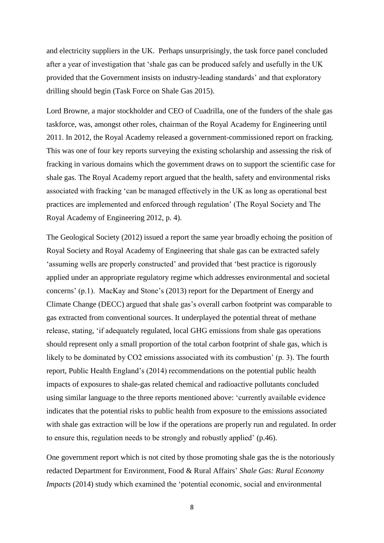and electricity suppliers in the UK. Perhaps unsurprisingly, the task force panel concluded after a year of investigation that 'shale gas can be produced safely and usefully in the UK provided that the Government insists on industry-leading standards' and that exploratory drilling should begin (Task Force on Shale Gas 2015).

Lord Browne, a major stockholder and CEO of Cuadrilla, one of the funders of the shale gas taskforce, was, amongst other roles, chairman of the Royal Academy for Engineering until 2011. In 2012, the Royal Academy released a government-commissioned report on fracking. This was one of four key reports surveying the existing scholarship and assessing the risk of fracking in various domains which the government draws on to support the scientific case for shale gas. The Royal Academy report argued that the health, safety and environmental risks associated with fracking 'can be managed effectively in the UK as long as operational best practices are implemented and enforced through regulation' (The Royal Society and The Royal Academy of Engineering 2012, p. 4).

The Geological Society (2012) issued a report the same year broadly echoing the position of Royal Society and Royal Academy of Engineering that shale gas can be extracted safely 'assuming wells are properly constructed' and provided that 'best practice is rigorously applied under an appropriate regulatory regime which addresses environmental and societal concerns' (p.1). MacKay and Stone's (2013) report for the Department of Energy and Climate Change (DECC) argued that shale gas's overall carbon footprint was comparable to gas extracted from conventional sources. It underplayed the potential threat of methane release, stating, 'if adequately regulated, local GHG emissions from shale gas operations should represent only a small proportion of the total carbon footprint of shale gas, which is likely to be dominated by CO2 emissions associated with its combustion' (p. 3). The fourth report, Public Health England's (2014) recommendations on the potential public health impacts of exposures to shale-gas related chemical and radioactive pollutants concluded using similar language to the three reports mentioned above: 'currently available evidence indicates that the potential risks to public health from exposure to the emissions associated with shale gas extraction will be low if the operations are properly run and regulated. In order to ensure this, regulation needs to be strongly and robustly applied' (p.46).

One government report which is not cited by those promoting shale gas the is the notoriously redacted [Department for Environment, Food & Rural Affairs'](https://www.gov.uk/government/organisations/department-for-environment-food-rural-affairs) *Shale Gas: Rural Economy Impacts* (2014) study which examined the 'potential economic, social and environmental

<sup>8</sup>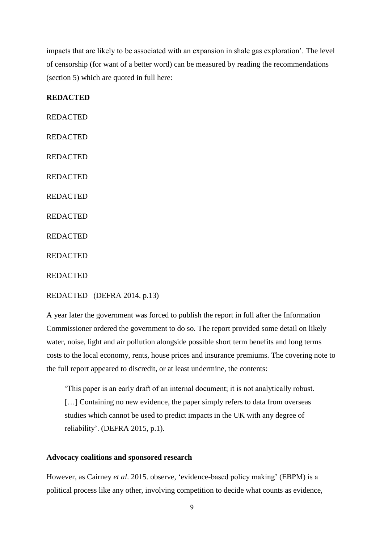impacts that are likely to be associated with an expansion in shale gas exploration'. The level of censorship (for want of a better word) can be measured by reading the recommendations (section 5) which are quoted in full here:

# **REDACTED**

REDACTED REDACTED REDACTED REDACTED REDACTED REDACTED REDACTED REDACTED

REDACTED

REDACTED [\(DEFRA](https://www.gov.uk/government/organisations/department-for-environment-food-rural-affairs) 2014. p.13)

A year later the government was forced to publish the report in full after the Information Commissioner ordered the government to do so. The report provided some detail on likely water, noise, light and air pollution alongside possible short term benefits and long terms costs to the local economy, rents, house prices and insurance premiums. The covering note to the full report appeared to discredit, or at least undermine, the contents:

'This paper is an early draft of an internal document; it is not analytically robust. [...] Containing no new evidence, the paper simply refers to data from overseas studies which cannot be used to predict impacts in the UK with any degree of reliability'. (DEFRA 2015, p.1).

# **Advocacy coalitions and sponsored research**

However, as Cairney *et al*. 2015. observe, 'evidence-based policy making' (EBPM) is a political process like any other, involving competition to decide what counts as evidence,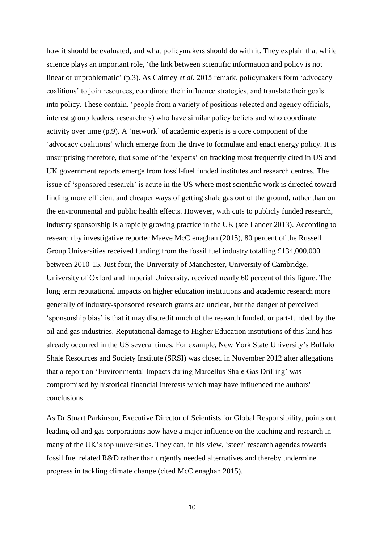how it should be evaluated, and what policymakers should do with it. They explain that while science plays an important role, 'the link between scientific information and policy is not linear or unproblematic' (p.3). As Cairney *et al.* 2015 remark, policymakers form 'advocacy coalitions' to join resources, coordinate their influence strategies, and translate their goals into policy. These contain, 'people from a variety of positions (elected and agency officials, interest group leaders, researchers) who have similar policy beliefs and who coordinate activity over time (p.9). A 'network' of academic experts is a core component of the 'advocacy coalitions' which emerge from the drive to formulate and enact energy policy. It is unsurprising therefore, that some of the 'experts' on fracking most frequently cited in US and UK government reports emerge from fossil-fuel funded institutes and research centres. The issue of 'sponsored research' is acute in the US where most scientific work is directed toward finding more efficient and cheaper ways of getting shale gas out of the ground, rather than on the environmental and public health effects. However, with cuts to publicly funded research, industry sponsorship is a rapidly growing practice in the UK (see Lander 2013). According to research by investigative reporter Maeve McClenaghan (2015), 80 percent of the Russell Group Universities received funding from the fossil fuel industry totalling £134,000,000 between 2010-15. Just four, the University of Manchester, University of Cambridge, University of Oxford and Imperial University, received nearly 60 percent of this figure. The long term reputational impacts on higher education institutions and academic research more generally of industry-sponsored research grants are unclear, but the danger of perceived 'sponsorship bias' is that it may discredit much of the research funded, or part-funded, by the oil and gas industries. Reputational damage to Higher Education institutions of this kind has already occurred in the US several times. For example, New York State University's Buffalo Shale Resources and Society Institute (SRSI) was closed in November 2012 after allegations that a report on 'Environmental Impacts during Marcellus Shale Gas Drilling' was compromised by historical financial interests which may have influenced the authors' conclusions.

As Dr Stuart Parkinson, Executive Director of Scientists for Global Responsibility, points out leading oil and gas corporations now have a major influence on the teaching and research in many of the UK's top universities. They can, in his view, 'steer' research agendas towards fossil fuel related R&D rather than urgently needed alternatives and thereby undermine progress in tackling climate change (cited McClenaghan 2015).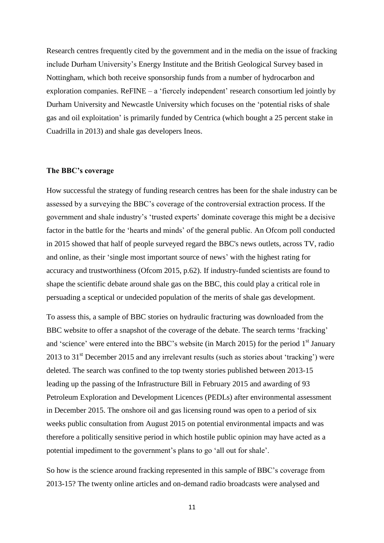Research centres frequently cited by the government and in the media on the issue of fracking include Durham University's Energy Institute and the British Geological Survey based in Nottingham, which both receive sponsorship funds from a number of hydrocarbon and exploration companies. ReFINE – a 'fiercely independent' research consortium led jointly by Durham University and Newcastle University which focuses on the 'potential risks of shale gas and oil exploitation' is primarily funded by Centrica (which bought a 25 percent stake in Cuadrilla in 2013) and shale gas developers Ineos.

#### **The BBC's coverage**

How successful the strategy of funding research centres has been for the shale industry can be assessed by a surveying the BBC's coverage of the controversial extraction process. If the government and shale industry's 'trusted experts' dominate coverage this might be a decisive factor in the battle for the 'hearts and minds' of the general public. An Ofcom poll conducted in 2015 showed that half of people surveyed regard the BBC's news outlets, across TV, radio and online, as their 'single most important source of news' with the highest rating for accuracy and trustworthiness (Ofcom 2015, p.62). If industry-funded scientists are found to shape the scientific debate around shale gas on the BBC, this could play a critical role in persuading a sceptical or undecided population of the merits of shale gas development.

To assess this, a sample of BBC stories on hydraulic fracturing was downloaded from the BBC website to offer a snapshot of the coverage of the debate. The search terms 'fracking' and 'science' were entered into the BBC's website (in March 2015) for the period 1<sup>st</sup> January 2013 to  $31<sup>st</sup>$  December 2015 and any irrelevant results (such as stories about 'tracking') were deleted. The search was confined to the top twenty stories published between 2013-15 leading up the passing of the Infrastructure Bill in February 2015 and awarding of 93 Petroleum Exploration and Development Licences (PEDLs) after environmental assessment in December 2015. The onshore oil and gas licensing round was open to a period of six weeks public consultation from August 2015 on potential environmental impacts and was therefore a politically sensitive period in which hostile public opinion may have acted as a potential impediment to the government's plans to go 'all out for shale'.

So how is the science around fracking represented in this sample of BBC's coverage from 2013-15? The twenty online articles and on-demand radio broadcasts were analysed and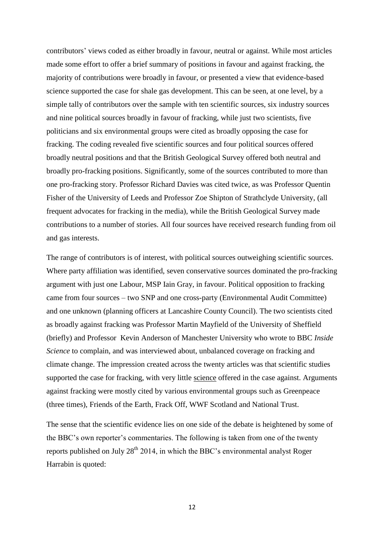contributors' views coded as either broadly in favour, neutral or against. While most articles made some effort to offer a brief summary of positions in favour and against fracking, the majority of contributions were broadly in favour, or presented a view that evidence-based science supported the case for shale gas development. This can be seen, at one level, by a simple tally of contributors over the sample with ten scientific sources, six industry sources and nine political sources broadly in favour of fracking, while just two scientists, five politicians and six environmental groups were cited as broadly opposing the case for fracking. The coding revealed five scientific sources and four political sources offered broadly neutral positions and that the British Geological Survey offered both neutral and broadly pro-fracking positions. Significantly, some of the sources contributed to more than one pro-fracking story. Professor Richard Davies was cited twice, as was Professor Quentin Fisher of the University of Leeds and Professor Zoe Shipton of Strathclyde University, (all frequent advocates for fracking in the media), while the British Geological Survey made contributions to a number of stories. All four sources have received research funding from oil and gas interests.

The range of contributors is of interest, with political sources outweighing scientific sources. Where party affiliation was identified, seven conservative sources dominated the pro-fracking argument with just one Labour, MSP Iain Gray, in favour. Political opposition to fracking came from four sources – two SNP and one cross-party (Environmental Audit Committee) and one unknown (planning officers at Lancashire County Council). The two scientists cited as broadly against fracking was Professor Martin Mayfield of the University of Sheffield (briefly) and Professor Kevin Anderson of Manchester University who wrote to BBC *Inside Science* to complain, and was interviewed about, unbalanced coverage on fracking and climate change. The impression created across the twenty articles was that scientific studies supported the case for fracking, with very little science offered in the case against. Arguments against fracking were mostly cited by various environmental groups such as Greenpeace (three times), Friends of the Earth, Frack Off, WWF Scotland and National Trust.

The sense that the scientific evidence lies on one side of the debate is heightened by some of the BBC's own reporter's commentaries. The following is taken from one of the twenty reports published on July  $28<sup>th</sup> 2014$ , in which the BBC's environmental analyst Roger Harrabin is quoted: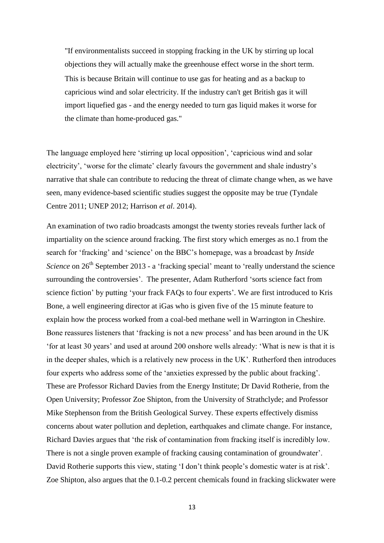"If environmentalists succeed in stopping fracking in the UK by stirring up local objections they will actually make the greenhouse effect worse in the short term. This is because Britain will continue to use gas for heating and as a backup to capricious wind and solar electricity. If the industry can't get British gas it will import liquefied gas - and the energy needed to turn gas liquid makes it worse for the climate than home-produced gas."

The language employed here 'stirring up local opposition', 'capricious wind and solar electricity', 'worse for the climate' clearly favours the government and shale industry's narrative that shale can contribute to reducing the threat of climate change when, as we have seen, many evidence-based scientific studies suggest the opposite may be true (Tyndale Centre 2011; UNEP 2012; Harrison *et al*. 2014).

An examination of two radio broadcasts amongst the twenty stories reveals further lack of impartiality on the science around fracking. The first story which emerges as no.1 from the search for 'fracking' and 'science' on the BBC's homepage, was a broadcast by *Inside Science* on 26<sup>th</sup> September 2013 - a 'fracking special' meant to 'really understand the science surrounding the controversies'. The presenter, Adam Rutherford 'sorts science fact from science fiction' by putting 'your frack FAQs to four experts'. We are first introduced to Kris Bone, a well engineering director at iGas who is given five of the 15 minute feature to explain how the process worked from a coal-bed methane well in Warrington in Cheshire. Bone reassures listeners that 'fracking is not a new process' and has been around in the UK 'for at least 30 years' and used at around 200 onshore wells already: 'What is new is that it is in the deeper shales, which is a relatively new process in the UK'. Rutherford then introduces four experts who address some of the 'anxieties expressed by the public about fracking'. These are Professor Richard Davies from the Energy Institute; Dr David Rotherie, from the Open University; Professor Zoe Shipton, from the University of Strathclyde; and Professor Mike Stephenson from the British Geological Survey. These experts effectively dismiss concerns about water pollution and depletion, earthquakes and climate change. For instance, Richard Davies argues that 'the risk of contamination from fracking itself is incredibly low. There is not a single proven example of fracking causing contamination of groundwater'. David Rotherie supports this view, stating 'I don't think people's domestic water is at risk'. Zoe Shipton, also argues that the 0.1-0.2 percent chemicals found in fracking slickwater were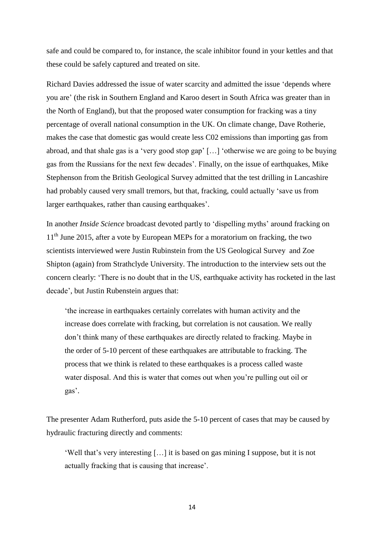safe and could be compared to, for instance, the scale inhibitor found in your kettles and that these could be safely captured and treated on site.

Richard Davies addressed the issue of water scarcity and admitted the issue 'depends where you are' (the risk in Southern England and Karoo desert in South Africa was greater than in the North of England), but that the proposed water consumption for fracking was a tiny percentage of overall national consumption in the UK. On climate change, Dave Rotherie, makes the case that domestic gas would create less C02 emissions than importing gas from abroad, and that shale gas is a 'very good stop gap' […] 'otherwise we are going to be buying gas from the Russians for the next few decades'. Finally, on the issue of earthquakes, Mike Stephenson from the British Geological Survey admitted that the test drilling in Lancashire had probably caused very small tremors, but that, fracking, could actually 'save us from larger earthquakes, rather than causing earthquakes'.

In another *Inside Science* broadcast devoted partly to 'dispelling myths' around fracking on  $11<sup>th</sup>$  June 2015, after a vote by European MEPs for a moratorium on fracking, the two scientists interviewed were Justin Rubinstein from the US Geological Survey and Zoe Shipton (again) from Strathclyde University. The introduction to the interview sets out the concern clearly: 'There is no doubt that in the US, earthquake activity has rocketed in the last decade', but Justin Rubenstein argues that:

'the increase in earthquakes certainly correlates with human activity and the increase does correlate with fracking, but correlation is not causation. We really don't think many of these earthquakes are directly related to fracking. Maybe in the order of 5-10 percent of these earthquakes are attributable to fracking. The process that we think is related to these earthquakes is a process called waste water disposal. And this is water that comes out when you're pulling out oil or gas'.

The presenter Adam Rutherford, puts aside the 5-10 percent of cases that may be caused by hydraulic fracturing directly and comments:

'Well that's very interesting […] it is based on gas mining I suppose, but it is not actually fracking that is causing that increase'.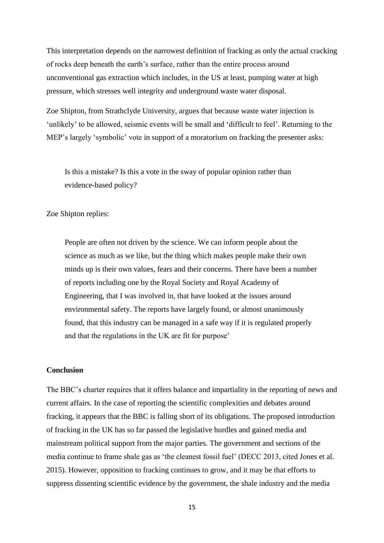This interpretation depends on the narrowest definition of fracking as only the actual cracking of rocks deep beneath the earth's surface, rather than the entire process around unconventional gas extraction which includes, in the US at least, pumping water at high pressure, which stresses well integrity and underground waste water disposal.

Zoe Shipton, from Strathclyde University, argues that because waste water injection is 'unlikely' to be allowed, seismic events will be small and 'difficult to feel'. Returning to the MEP's largely 'symbolic' vote in support of a moratorium on fracking the presenter asks:

Is this a mistake? Is this a vote in the sway of popular opinion rather than evidence-based policy?

Zoe Shipton replies:

People are often not driven by the science. We can inform people about the science as much as we like, but the thing which makes people make their own minds up is their own values, fears and their concerns. There have been a number of reports including one by the Royal Society and Royal Academy of Engineering, that I was involved in, that have looked at the issues around environmental safety. The reports have largely found, or almost unanimously found, that this industry can be managed in a safe way if it is regulated properly and that the regulations in the UK are fit for purpose'

# **Conclusion**

The BBC's charter requires that it offers balance and impartiality in the reporting of news and current affairs. In the case of reporting the scientific complexities and debates around fracking, it appears that the BBC is falling short of its obligations. The proposed introduction of fracking in the UK has so far passed the legislative hurdles and gained media and mainstream political support from the major parties. The government and sections of the media continue to frame shale gas as 'the cleanest fossil fuel' (DECC 2013, cited Jones et al. 2015). However, opposition to fracking continues to grow, and it may be that efforts to suppress dissenting scientific evidence by the government, the shale industry and the media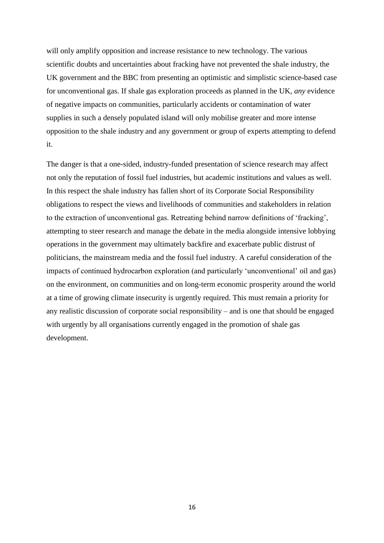will only amplify opposition and increase resistance to new technology. The various scientific doubts and uncertainties about fracking have not prevented the shale industry, the UK government and the BBC from presenting an optimistic and simplistic science-based case for unconventional gas. If shale gas exploration proceeds as planned in the UK, *any* evidence of negative impacts on communities, particularly accidents or contamination of water supplies in such a densely populated island will only mobilise greater and more intense opposition to the shale industry and any government or group of experts attempting to defend it.

The danger is that a one-sided, industry-funded presentation of science research may affect not only the reputation of fossil fuel industries, but academic institutions and values as well. In this respect the shale industry has fallen short of its Corporate Social Responsibility obligations to respect the views and livelihoods of communities and stakeholders in relation to the extraction of unconventional gas. Retreating behind narrow definitions of 'fracking', attempting to steer research and manage the debate in the media alongside intensive lobbying operations in the government may ultimately backfire and exacerbate public distrust of politicians, the mainstream media and the fossil fuel industry. A careful consideration of the impacts of continued hydrocarbon exploration (and particularly 'unconventional' oil and gas) on the environment, on communities and on long-term economic prosperity around the world at a time of growing climate insecurity is urgently required. This must remain a priority for any realistic discussion of corporate social responsibility – and is one that should be engaged with urgently by all organisations currently engaged in the promotion of shale gas development.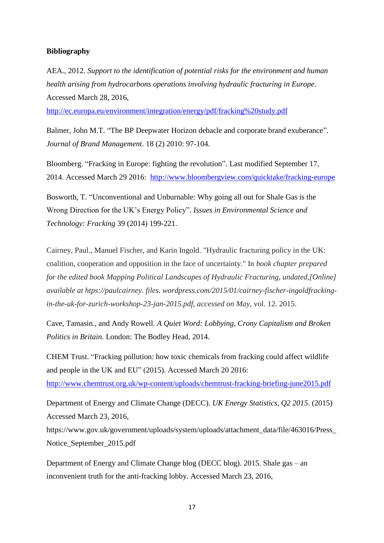# **Bibliography**

AEA., 2012. *Support to the identification of potential risks for the environment and human health arising from hydrocarbons operations involving hydraulic fracturing in Europe*. Accessed March 28, 2016,

<http://ec.europa.eu/environment/integration/energy/pdf/fracking%20study.pdf>

Balmer, John M.T. "The BP Deepwater Horizon debacle and corporate brand exuberance". *Journal of Brand Management*. 18 (2) 2010: 97-104.

Bloomberg. "Fracking in Europe: fighting the revolution". Last modified September 17, 2014. Accessed March 29 2016: <http://www.bloombergview.com/quicktake/fracking-europe>

Bosworth, T. "Unconventional and Unburnable: Why going all out for Shale Gas is the Wrong Direction for the UK's Energy Policy". *Issues in Environmental Science and Technology: Fracking* 39 (2014) 199-221.

Cairney, Paul., Manuel Fischer, and Karin Ingold. "Hydraulic fracturing policy in the UK: coalition, cooperation and opposition in the face of uncertainty." In *book chapter prepared for the edited book Mapping Political Landscapes of Hydraulic Fracturing, undated,[Online] available at htps://paulcairney. files. wordpress.com/2015/01/cairney-fischer-ingoldfrackingin-the-uk-for-zurich-workshop-23-jan-2015.pdf, accessed on May*, vol. 12. 2015.

Cave, Tamasin., and Andy Rowell. *A Quiet Word: Lobbying, Crony Capitalism and Broken Politics in Britain.* London: The Bodley Head, 2014.

CHEM Trust. "Fracking pollution: how toxic chemicals from fracking could affect wildlife and people in the UK and EU" (2015). Accessed March 20 2016:

<http://www.chemtrust.org.uk/wp-content/uploads/chemtrust-fracking-briefing-june2015.pdf>

Department of Energy and Climate Change (DECC). *UK Energy Statistics, Q2 2015*. (2015) Accessed March 23, 2016,

https://www.gov.uk/government/uploads/system/uploads/attachment\_data/file/463016/Press\_ Notice\_September\_2015.pdf

Department of Energy and Climate Change blog (DECC blog). 2015. Shale gas – an inconvenient truth for the anti-fracking lobby. Accessed March 23, 2016,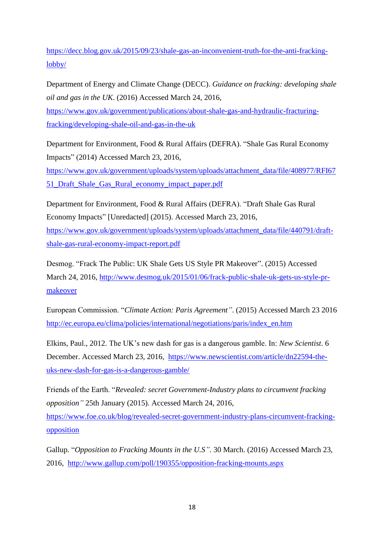[https://decc.blog.gov.uk/2015/09/23/shale-gas-an-inconvenient-truth-for-the-anti-fracking](https://decc.blog.gov.uk/2015/09/23/shale-gas-an-inconvenient-truth-for-the-anti-fracking-lobby/)[lobby/](https://decc.blog.gov.uk/2015/09/23/shale-gas-an-inconvenient-truth-for-the-anti-fracking-lobby/) 

Department of Energy and Climate Change (DECC). *Guidance on fracking: developing shale oil and gas in the UK*. (2016) Accessed March 24, 2016,

[https://www.gov.uk/government/publications/about-shale-gas-and-hydraulic-fracturing](https://www.gov.uk/government/publications/about-shale-gas-and-hydraulic-fracturing-fracking/developing-shale-oil-and-gas-in-the-uk)[fracking/developing-shale-oil-and-gas-in-the-uk](https://www.gov.uk/government/publications/about-shale-gas-and-hydraulic-fracturing-fracking/developing-shale-oil-and-gas-in-the-uk)

[Department for Environment, Food & Rural Affairs](https://www.gov.uk/government/organisations/department-for-environment-food-rural-affairs) (DEFRA). "Shale Gas Rural Economy Impacts" (2014) Accessed March 23, 2016,

[https://www.gov.uk/government/uploads/system/uploads/attachment\\_data/file/408977/RFI67](https://www.gov.uk/government/uploads/system/uploads/attachment_data/file/408977/RFI6751_Draft_Shale_Gas_Rural_economy_impact_paper.pdf) [51\\_Draft\\_Shale\\_Gas\\_Rural\\_economy\\_impact\\_paper.pdf](https://www.gov.uk/government/uploads/system/uploads/attachment_data/file/408977/RFI6751_Draft_Shale_Gas_Rural_economy_impact_paper.pdf)

[Department for Environment, Food & Rural Affairs](https://www.gov.uk/government/organisations/department-for-environment-food-rural-affairs) (DEFRA). "Draft Shale Gas Rural Economy Impacts" [Unredacted] (2015). Accessed March 23, 2016, [https://www.gov.uk/government/uploads/system/uploads/attachment\\_data/file/440791/draft](https://www.gov.uk/government/uploads/system/uploads/attachment_data/file/440791/draft-shale-gas-rural-economy-impact-report.pdf)[shale-gas-rural-economy-impact-report.pdf](https://www.gov.uk/government/uploads/system/uploads/attachment_data/file/440791/draft-shale-gas-rural-economy-impact-report.pdf)

Desmog. "Frack The Public: UK Shale Gets US Style PR Makeover". (2015) Accessed March 24, 2016, [http://www.desmog.uk/2015/01/06/frack-public-shale-uk-gets-us-style-pr](http://www.desmog.uk/2015/01/06/frack-public-shale-uk-gets-us-style-pr-makeover)[makeover](http://www.desmog.uk/2015/01/06/frack-public-shale-uk-gets-us-style-pr-makeover)

European Commission. "*Climate Action: Paris Agreement"*. (2015) Accessed March 23 2016 [http://ec.europa.eu/clima/policies/international/negotiations/paris/index\\_en.htm](http://ec.europa.eu/clima/policies/international/negotiations/paris/index_en.htm)

Elkins, Paul., 2012. The UK's new dash for gas is a dangerous gamble. In: *New Scientist*. 6 December. Accessed March 23, 2016, [https://www.newscientist.com/article/dn22594-the](https://www.newscientist.com/article/dn22594-the-uks-new-dash-for-gas-is-a-dangerous-gamble/)[uks-new-dash-for-gas-is-a-dangerous-gamble/](https://www.newscientist.com/article/dn22594-the-uks-new-dash-for-gas-is-a-dangerous-gamble/)

Friends of the Earth. "*Revealed: secret Government-Industry plans to circumvent fracking opposition"* 25th January (2015)*.* Accessed March 24, 2016,

[https://www.foe.co.uk/blog/revealed-secret-government-industry-plans-circumvent-fracking](https://www.foe.co.uk/blog/revealed-secret-government-industry-plans-circumvent-fracking-opposition)[opposition](https://www.foe.co.uk/blog/revealed-secret-government-industry-plans-circumvent-fracking-opposition)

Gallup. "*Opposition to Fracking Mounts in the U.S".* 30 March. (2016) Accessed March 23, 2016, <http://www.gallup.com/poll/190355/opposition-fracking-mounts.aspx>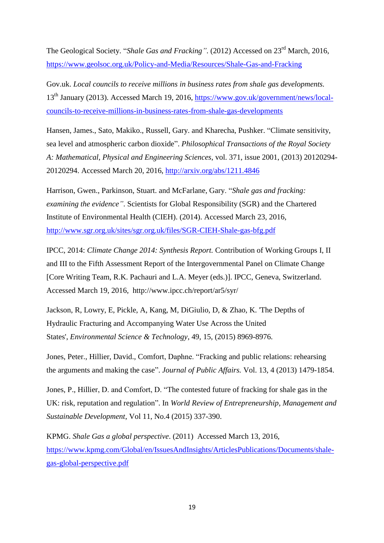The Geological Society. "*Shale Gas and Fracking"*. (2012) Accessed on 23rd March, 2016, <https://www.geolsoc.org.uk/Policy-and-Media/Resources/Shale-Gas-and-Fracking>

Gov.uk. *Local councils to receive millions in business rates from shale gas developments.* 13th January (2013). Accessed March 19, 2016, [https://www.gov.uk/government/news/local](https://www.gov.uk/government/news/local-councils-to-receive-millions-in-business-rates-from-shale-gas-developments)[councils-to-receive-millions-in-business-rates-from-shale-gas-developments](https://www.gov.uk/government/news/local-councils-to-receive-millions-in-business-rates-from-shale-gas-developments)

Hansen, James., Sato, Makiko., Russell, Gary. and Kharecha, Pushker. "Climate sensitivity, sea level and atmospheric carbon dioxide". *Philosophical Transactions of the Royal Society A: Mathematical, Physical and Engineering Sciences*, vol. 371, issue 2001, (2013) 20120294- 20120294. Accessed March 20, 2016,<http://arxiv.org/abs/1211.4846>

Harrison, Gwen., Parkinson, Stuart. and McFarlane, Gary. "*Shale gas and fracking: examining the evidence"*. Scientists for Global Responsibility (SGR) and the Chartered Institute of Environmental Health (CIEH). (2014). Accessed March 23, 2016, <http://www.sgr.org.uk/sites/sgr.org.uk/files/SGR-CIEH-Shale-gas-bfg.pdf>

IPCC, 2014: *Climate Change 2014: Synthesis Report.* Contribution of Working Groups I, II and III to the Fifth Assessment Report of the Intergovernmental Panel on Climate Change [Core Writing Team, R.K. Pachauri and L.A. Meyer (eds.)]. IPCC, Geneva, Switzerland. Accessed March 19, 2016, http://www.ipcc.ch/report/ar5/syr/

Jackson, R, Lowry, E, Pickle, A, Kang, M, DiGiulio, D, & Zhao, K. 'The Depths of Hydraulic Fracturing and Accompanying Water Use Across the United States', *Environmental Science & Technology*, 49, 15, (2015) 8969-8976.

Jones, Peter., Hillier, David., Comfort, Daphne. "Fracking and public relations: rehearsing the arguments and making the case". *Journal of Public Affairs.* Vol. 13, 4 (2013) 1479-1854.

Jones, P., Hillier, D. and Comfort, D. "The contested future of fracking for shale gas in the UK: risk, reputation and regulation". In *World Review of Entrepreneurship, Management and Sustainable Development*, Vol 11, No.4 (2015) 337-390.

KPMG. *Shale Gas a global perspective*. (2011) Accessed March 13, 2016, [https://www.kpmg.com/Global/en/IssuesAndInsights/ArticlesPublications/Documents/shale](https://www.kpmg.com/Global/en/IssuesAndInsights/ArticlesPublications/Documents/shale-gas-global-perspective.pdf)[gas-global-perspective.pdf](https://www.kpmg.com/Global/en/IssuesAndInsights/ArticlesPublications/Documents/shale-gas-global-perspective.pdf)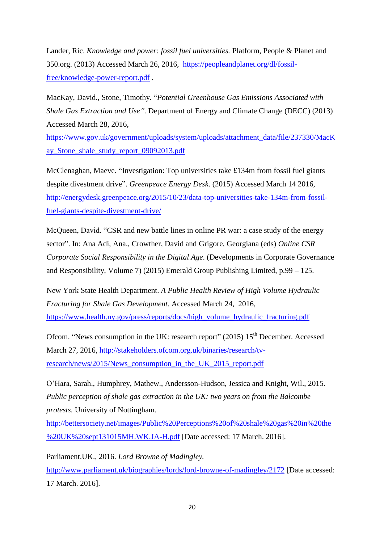Lander, Ric. *Knowledge and power: fossil fuel universities.* Platform, People & Planet and 350.org. (2013) Accessed March 26, 2016, [https://peopleandplanet.org/dl/fossil](https://peopleandplanet.org/dl/fossil-free/knowledge-power-report.pdf)[free/knowledge-power-report.pdf](https://peopleandplanet.org/dl/fossil-free/knowledge-power-report.pdf) .

MacKay, David., Stone, Timothy. "*Potential Greenhouse Gas Emissions Associated with Shale Gas Extraction and Use".* Department of Energy and Climate Change (DECC) (2013) Accessed March 28, 2016,

[https://www.gov.uk/government/uploads/system/uploads/attachment\\_data/file/237330/MacK](https://www.gov.uk/government/uploads/system/uploads/attachment_data/file/237330/MacKay_Stone_shale_study_report_09092013.pdf) [ay\\_Stone\\_shale\\_study\\_report\\_09092013.pdf](https://www.gov.uk/government/uploads/system/uploads/attachment_data/file/237330/MacKay_Stone_shale_study_report_09092013.pdf)

McClenaghan, Maeve. "Investigation: Top universities take £134m from fossil fuel giants despite divestment drive". *Greenpeace Energy Desk*. (2015) Accessed March 14 2016, [http://energydesk.greenpeace.org/2015/10/23/data-top-universities-take-134m-from-fossil](http://energydesk.greenpeace.org/2015/10/23/data-top-universities-take-134m-from-fossil-fuel-giants-despite-divestment-drive/)[fuel-giants-despite-divestment-drive/](http://energydesk.greenpeace.org/2015/10/23/data-top-universities-take-134m-from-fossil-fuel-giants-despite-divestment-drive/)

McQueen, David. "CSR and new battle lines in online PR war: a case study of the energy sector". In: Ana Adi, Ana., Crowther, David and Grigore, Georgiana (eds) *Online CSR Corporate Social Responsibility in the Digital Age*. (Developments in Corporate Governance and Responsibility, Volume 7) (2015) Emerald Group Publishing Limited, p.99 – 125.

New York State Health Department. *A Public Health Review of High Volume Hydraulic Fracturing for Shale Gas Development.* Accessed March 24, 2016, [https://www.health.ny.gov/press/reports/docs/high\\_volume\\_hydraulic\\_fracturing.pdf](https://www.health.ny.gov/press/reports/docs/high_volume_hydraulic_fracturing.pdf) 

Ofcom. "News consumption in the UK: research report" (2015) 15<sup>th</sup> December. Accessed March 27, 2016, [http://stakeholders.ofcom.org.uk/binaries/research/tv](http://stakeholders.ofcom.org.uk/binaries/research/tv-research/news/2015/News_consumption_in_the_UK_2015_report.pdf)[research/news/2015/News\\_consumption\\_in\\_the\\_UK\\_2015\\_report.pdf](http://stakeholders.ofcom.org.uk/binaries/research/tv-research/news/2015/News_consumption_in_the_UK_2015_report.pdf)

O'Hara, Sarah., Humphrey, Mathew., Andersson-Hudson, Jessica and Knight, Wil., 2015. *Public perception of shale gas extraction in the UK: two years on from the Balcombe protests.* University of Nottingham.

[http://bettersociety.net/images/Public%20Perceptions%20of%20shale%20gas%20in%20the](http://bettersociety.net/images/Public%20Perceptions%20of%20shale%20gas%20in%20the%20UK%20sept131015MH.WK.JA-H.pdf) [%20UK%20sept131015MH.WK.JA-H.pdf](http://bettersociety.net/images/Public%20Perceptions%20of%20shale%20gas%20in%20the%20UK%20sept131015MH.WK.JA-H.pdf) [Date accessed: 17 March. 2016].

Parliament.UK., 2016. *Lord Browne of Madingley.*

<http://www.parliament.uk/biographies/lords/lord-browne-of-madingley/2172> [Date accessed: 17 March. 2016].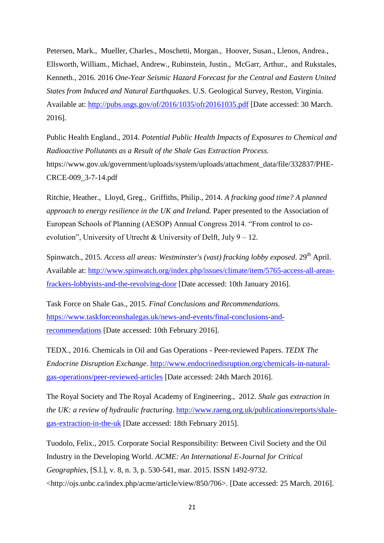Petersen, Mark., Mueller, Charles., Moschetti, Morgan., Hoover, Susan., Llenos, Andrea., Ellsworth, William., Michael, Andrew., Rubinstein, Justin., McGarr, Arthur., and Rukstales, Kenneth., 2016. 2016 *One-Year Seismic Hazard Forecast for the Central and Eastern United States from Induced and Natural Earthquakes*. U.S. Geological Survey, Reston, Virginia. Available at:<http://pubs.usgs.gov/of/2016/1035/ofr20161035.pdf> [Date accessed: 30 March. 2016].

Public Health England., 2014. *Potential Public Health Impacts of Exposures to Chemical and Radioactive Pollutants as a Result of the Shale Gas Extraction Process.* https://www.gov.uk/government/uploads/system/uploads/attachment\_data/file/332837/PHE-CRCE-009\_3-7-14.pdf

Ritchie, Heather., Lloyd, Greg., Griffiths, Philip., 2014. *A fracking good time? A planned approach to energy resilience in the UK and Ireland.* Paper presented to the Association of European Schools of Planning (AESOP) Annual Congress 2014. "From control to coevolution", University of Utrecht & University of Delft, July  $9 - 12$ .

Spinwatch., 2015. *Access all areas: Westminster's (vast) fracking lobby exposed.* 29<sup>th</sup> April. Available at: [http://www.spinwatch.org/index.php/issues/climate/item/5765-access-all-areas](http://www.spinwatch.org/index.php/issues/climate/item/5765-access-all-areas-frackers-lobbyists-and-the-revolving-door)[frackers-lobbyists-and-the-revolving-door](http://www.spinwatch.org/index.php/issues/climate/item/5765-access-all-areas-frackers-lobbyists-and-the-revolving-door) [Date accessed: 10th January 2016].

Task Force on Shale Gas., 2015. *Final Conclusions and Recommendations.* [https://www.taskforceonshalegas.uk/news-and-events/final-conclusions-and](https://www.taskforceonshalegas.uk/news-and-events/final-conclusions-and-recommendations)[recommendations](https://www.taskforceonshalegas.uk/news-and-events/final-conclusions-and-recommendations) [Date accessed: 10th February 2016].

TEDX., 2016. Chemicals in Oil and Gas Operations - Peer-reviewed Papers. *TEDX The Endocrine Disruption Exchange*. [http://www.endocrinedisruption.org/chemicals-in-natural](http://www.endocrinedisruption.org/chemicals-in-natural-gas-operations/peer-reviewed-articles)[gas-operations/peer-reviewed-articles](http://www.endocrinedisruption.org/chemicals-in-natural-gas-operations/peer-reviewed-articles) [Date accessed: 24th March 2016].

The Royal Society and The Royal Academy of Engineering., 2012. *Shale gas extraction in the UK: a review of hydraulic fracturing*. [http://www.raeng.org.uk/publications/reports/shale](http://www.raeng.org.uk/publications/reports/shale-gas-extraction-in-the-uk)[gas-extraction-in-the-uk](http://www.raeng.org.uk/publications/reports/shale-gas-extraction-in-the-uk) [Date accessed: 18th February 2015].

Tuodolo, Felix., 2015. Corporate Social Responsibility: Between Civil Society and the Oil Industry in the Developing World. *ACME: An International E-Journal for Critical Geographies,* [S.l.], v. 8, n. 3, p. 530-541, mar. 2015. ISSN 1492-9732. [<http://ojs.unbc.ca/index.php/acme/article/view/850/706>](http://ojs.unbc.ca/index.php/acme/article/view/850/706). [Date accessed: 25 March. 2016].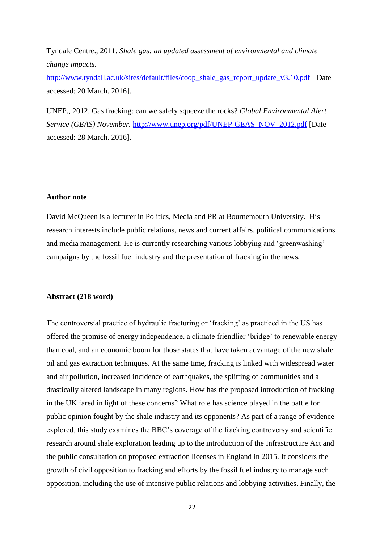Tyndale Centre., 2011. *Shale gas: an updated assessment of environmental and climate change impacts.* 

[http://www.tyndall.ac.uk/sites/default/files/coop\\_shale\\_gas\\_report\\_update\\_v3.10.pdf](http://www.tyndall.ac.uk/sites/default/files/coop_shale_gas_report_update_v3.10.pdf) [Date accessed: 20 March. 2016].

UNEP., 2012. Gas fracking: can we safely squeeze the rocks? *Global Environmental Alert Service (GEAS) November.* [http://www.unep.org/pdf/UNEP-GEAS\\_NOV\\_2012.pdf](http://www.unep.org/pdf/UNEP-GEAS_NOV_2012.pdf) [Date accessed: 28 March. 2016].

## **Author note**

[David](http://www.bournemouth.ac.uk/about/people_at_bu/our_academic_staff/TMS/profiles/jbrissenden.html) McQueen is a lecturer in Politics, Media and PR at Bournemouth University. His research interests include public relations, news and current affairs, political communications and media management. He is currently researching various lobbying and 'greenwashing' campaigns by the fossil fuel industry and the presentation of fracking in the news.

#### **Abstract (218 word)**

The controversial practice of hydraulic fracturing or 'fracking' as practiced in the US has offered the promise of energy independence, a climate friendlier 'bridge' to renewable energy than coal, and an economic boom for those states that have taken advantage of the new shale oil and gas extraction techniques. At the same time, fracking is linked with widespread water and air pollution, increased incidence of earthquakes, the splitting of communities and a drastically altered landscape in many regions. How has the proposed introduction of fracking in the UK fared in light of these concerns? What role has science played in the battle for public opinion fought by the shale industry and its opponents? As part of a range of evidence explored, this study examines the BBC's coverage of the fracking controversy and scientific research around shale exploration leading up to the introduction of the Infrastructure Act and the public consultation on proposed extraction licenses in England in 2015. It considers the growth of civil opposition to fracking and efforts by the fossil fuel industry to manage such opposition, including the use of intensive public relations and lobbying activities. Finally, the